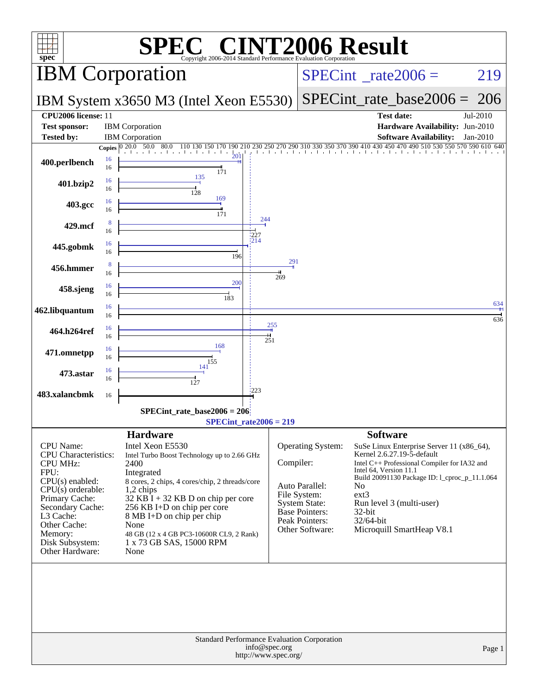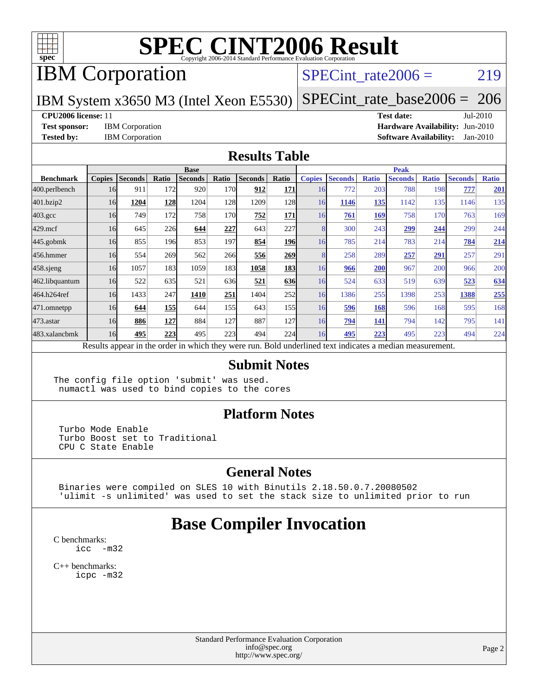

## IBM Corporation

### SPECint rate $2006 = 219$

IBM System x3650 M3 (Intel Xeon E5530)

[SPECint\\_rate\\_base2006 =](http://www.spec.org/auto/cpu2006/Docs/result-fields.html#SPECintratebase2006) 206

#### **[CPU2006 license:](http://www.spec.org/auto/cpu2006/Docs/result-fields.html#CPU2006license)** 11 **[Test date:](http://www.spec.org/auto/cpu2006/Docs/result-fields.html#Testdate)** Jul-2010

**[Test sponsor:](http://www.spec.org/auto/cpu2006/Docs/result-fields.html#Testsponsor)** IBM Corporation **[Hardware Availability:](http://www.spec.org/auto/cpu2006/Docs/result-fields.html#HardwareAvailability)** Jun-2010 **[Tested by:](http://www.spec.org/auto/cpu2006/Docs/result-fields.html#Testedby)** IBM Corporation **[Software Availability:](http://www.spec.org/auto/cpu2006/Docs/result-fields.html#SoftwareAvailability)** Jan-2010

#### **[Results Table](http://www.spec.org/auto/cpu2006/Docs/result-fields.html#ResultsTable)**

|                    | <b>Base</b>   |                |       |                |       |                |            | <b>Peak</b>   |                |              |                                                                                                          |              |                |              |
|--------------------|---------------|----------------|-------|----------------|-------|----------------|------------|---------------|----------------|--------------|----------------------------------------------------------------------------------------------------------|--------------|----------------|--------------|
| <b>Benchmark</b>   | <b>Copies</b> | <b>Seconds</b> | Ratio | <b>Seconds</b> | Ratio | <b>Seconds</b> | Ratio      | <b>Copies</b> | <b>Seconds</b> | <b>Ratio</b> | <b>Seconds</b>                                                                                           | <b>Ratio</b> | <b>Seconds</b> | <b>Ratio</b> |
| 400.perlbench      | 16            | 911            | 172   | 920            | 170   | 912            | 171        | 16            | 772            | 203          | 788                                                                                                      | 198          | 777            | 201          |
| 401.bzip2          | 16            | 1204           | 128   | 1204           | 128   | 1209           | 128        | 16            | 1146           | 135          | 1142                                                                                                     | 135          | 1146           | 135          |
| $403.\mathrm{gcc}$ | 16            | 749            | 172   | 758            | 170   | 752            | 171        | 16            | <u>761</u>     | 169          | 758                                                                                                      | 170          | 763            | 169          |
| $429$ .mcf         | 16            | 645            | 226   | 644            | 227   | 643            | 227        |               | 300            | 243          | 299                                                                                                      | 244          | 299            | 244          |
| $445$ .gobmk       | 16            | 855            | 196   | 853            | 197   | 854            | <b>196</b> | 16            | 785            | 214          | 783                                                                                                      | 214          | 784            | 214          |
| 456.hmmer          | 16            | 554            | 269   | 562            | 266   | 556            | 269        |               | 258            | 289          | 257                                                                                                      | 291          | 257            | 291          |
| $458$ .sjeng       | 16            | 1057           | 183   | 1059           | 183I  | 1058           | 183        | 16            | 966            | 200          | 967                                                                                                      | 200          | 966            | 200          |
| 462.libquantum     | 16            | 522            | 635   | 521            | 636   | 521            | 636        | 16            | 524            | 633          | 519                                                                                                      | 639          | 523            | 634          |
| 464.h264ref        | 16            | 1433           | 247   | <b>1410</b>    | 251   | 1404           | 252        | 16            | 1386           | 255          | 1398                                                                                                     | 253          | 1388           | 255          |
| $471$ .omnetpp     | 16            | 644            | 155   | 644            | 155I  | 643            | 155        | 16            | 596            | 168          | 596                                                                                                      | 168          | 595            | 168          |
| $473$ . astar      | 16            | 886            | 127   | 884            | 127   | 887            | 127        | 16            | 794            | 141          | 794                                                                                                      | 142          | 795            | 141          |
| 483.xalancbmk      | 16            | 495            | 223   | 495            | 223   | 494            | 224        | 16            | 495            | 223          | 495                                                                                                      | 223          | 494            | 224          |
|                    |               |                |       |                |       |                |            |               |                |              | Results appear in the order in which they were run. Bold underlined text indicates a median measurement. |              |                |              |

#### **[Submit Notes](http://www.spec.org/auto/cpu2006/Docs/result-fields.html#SubmitNotes)**

The config file option 'submit' was used. numactl was used to bind copies to the cores

#### **[Platform Notes](http://www.spec.org/auto/cpu2006/Docs/result-fields.html#PlatformNotes)**

 Turbo Mode Enable Turbo Boost set to Traditional CPU C State Enable

#### **[General Notes](http://www.spec.org/auto/cpu2006/Docs/result-fields.html#GeneralNotes)**

 Binaries were compiled on SLES 10 with Binutils 2.18.50.0.7.20080502 'ulimit -s unlimited' was used to set the stack size to unlimited prior to run

### **[Base Compiler Invocation](http://www.spec.org/auto/cpu2006/Docs/result-fields.html#BaseCompilerInvocation)**

[C benchmarks](http://www.spec.org/auto/cpu2006/Docs/result-fields.html#Cbenchmarks): icc  $-m32$ 

[C++ benchmarks:](http://www.spec.org/auto/cpu2006/Docs/result-fields.html#CXXbenchmarks) [icpc -m32](http://www.spec.org/cpu2006/results/res2010q3/cpu2006-20100802-12751.flags.html#user_CXXbase_intel_icpc_32bit_4e5a5ef1a53fd332b3c49e69c3330699)

> Standard Performance Evaluation Corporation [info@spec.org](mailto:info@spec.org) <http://www.spec.org/>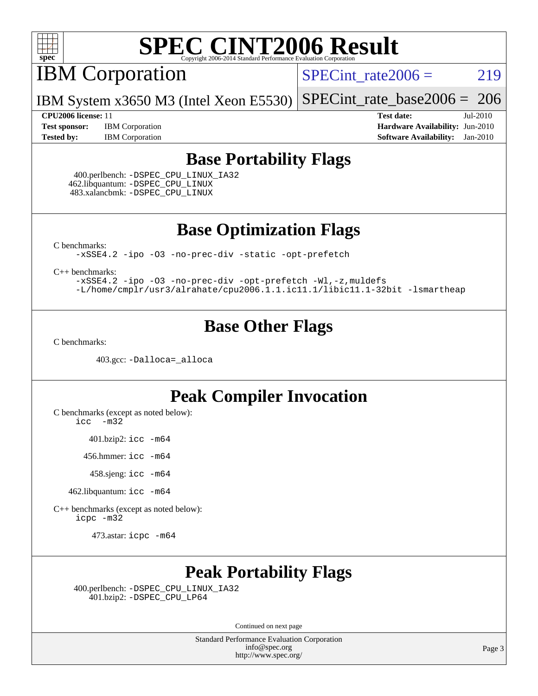

IBM Corporation

 $SPECTnt_rate2006 = 219$ 

IBM System x3650 M3 (Intel Xeon E5530) [SPECint\\_rate\\_base2006 =](http://www.spec.org/auto/cpu2006/Docs/result-fields.html#SPECintratebase2006) 206

**[Test sponsor:](http://www.spec.org/auto/cpu2006/Docs/result-fields.html#Testsponsor)** IBM Corporation **[Hardware Availability:](http://www.spec.org/auto/cpu2006/Docs/result-fields.html#HardwareAvailability)** Jun-2010

**[CPU2006 license:](http://www.spec.org/auto/cpu2006/Docs/result-fields.html#CPU2006license)** 11 **[Test date:](http://www.spec.org/auto/cpu2006/Docs/result-fields.html#Testdate)** Jul-2010 **[Tested by:](http://www.spec.org/auto/cpu2006/Docs/result-fields.html#Testedby)** IBM Corporation **[Software Availability:](http://www.spec.org/auto/cpu2006/Docs/result-fields.html#SoftwareAvailability)** Jan-2010

### **[Base Portability Flags](http://www.spec.org/auto/cpu2006/Docs/result-fields.html#BasePortabilityFlags)**

 400.perlbench: [-DSPEC\\_CPU\\_LINUX\\_IA32](http://www.spec.org/cpu2006/results/res2010q3/cpu2006-20100802-12751.flags.html#b400.perlbench_baseCPORTABILITY_DSPEC_CPU_LINUX_IA32) 462.libquantum: [-DSPEC\\_CPU\\_LINUX](http://www.spec.org/cpu2006/results/res2010q3/cpu2006-20100802-12751.flags.html#b462.libquantum_baseCPORTABILITY_DSPEC_CPU_LINUX) 483.xalancbmk: [-DSPEC\\_CPU\\_LINUX](http://www.spec.org/cpu2006/results/res2010q3/cpu2006-20100802-12751.flags.html#b483.xalancbmk_baseCXXPORTABILITY_DSPEC_CPU_LINUX)

**[Base Optimization Flags](http://www.spec.org/auto/cpu2006/Docs/result-fields.html#BaseOptimizationFlags)**

[C benchmarks](http://www.spec.org/auto/cpu2006/Docs/result-fields.html#Cbenchmarks):

[-xSSE4.2](http://www.spec.org/cpu2006/results/res2010q3/cpu2006-20100802-12751.flags.html#user_CCbase_f-xSSE42_f91528193cf0b216347adb8b939d4107) [-ipo](http://www.spec.org/cpu2006/results/res2010q3/cpu2006-20100802-12751.flags.html#user_CCbase_f-ipo) [-O3](http://www.spec.org/cpu2006/results/res2010q3/cpu2006-20100802-12751.flags.html#user_CCbase_f-O3) [-no-prec-div](http://www.spec.org/cpu2006/results/res2010q3/cpu2006-20100802-12751.flags.html#user_CCbase_f-no-prec-div) [-static](http://www.spec.org/cpu2006/results/res2010q3/cpu2006-20100802-12751.flags.html#user_CCbase_f-static) [-opt-prefetch](http://www.spec.org/cpu2006/results/res2010q3/cpu2006-20100802-12751.flags.html#user_CCbase_f-opt-prefetch)

[C++ benchmarks:](http://www.spec.org/auto/cpu2006/Docs/result-fields.html#CXXbenchmarks)

[-xSSE4.2](http://www.spec.org/cpu2006/results/res2010q3/cpu2006-20100802-12751.flags.html#user_CXXbase_f-xSSE42_f91528193cf0b216347adb8b939d4107) [-ipo](http://www.spec.org/cpu2006/results/res2010q3/cpu2006-20100802-12751.flags.html#user_CXXbase_f-ipo) [-O3](http://www.spec.org/cpu2006/results/res2010q3/cpu2006-20100802-12751.flags.html#user_CXXbase_f-O3) [-no-prec-div](http://www.spec.org/cpu2006/results/res2010q3/cpu2006-20100802-12751.flags.html#user_CXXbase_f-no-prec-div) [-opt-prefetch](http://www.spec.org/cpu2006/results/res2010q3/cpu2006-20100802-12751.flags.html#user_CXXbase_f-opt-prefetch) [-Wl,-z,muldefs](http://www.spec.org/cpu2006/results/res2010q3/cpu2006-20100802-12751.flags.html#user_CXXbase_link_force_multiple1_74079c344b956b9658436fd1b6dd3a8a) [-L/home/cmplr/usr3/alrahate/cpu2006.1.1.ic11.1/libic11.1-32bit -lsmartheap](http://www.spec.org/cpu2006/results/res2010q3/cpu2006-20100802-12751.flags.html#user_CXXbase_SmartHeap_d86dffe4a79b79ef8890d5cce17030c3)

### **[Base Other Flags](http://www.spec.org/auto/cpu2006/Docs/result-fields.html#BaseOtherFlags)**

[C benchmarks](http://www.spec.org/auto/cpu2006/Docs/result-fields.html#Cbenchmarks):

403.gcc: [-Dalloca=\\_alloca](http://www.spec.org/cpu2006/results/res2010q3/cpu2006-20100802-12751.flags.html#b403.gcc_baseEXTRA_CFLAGS_Dalloca_be3056838c12de2578596ca5467af7f3)

### **[Peak Compiler Invocation](http://www.spec.org/auto/cpu2006/Docs/result-fields.html#PeakCompilerInvocation)**

[C benchmarks \(except as noted below\)](http://www.spec.org/auto/cpu2006/Docs/result-fields.html#Cbenchmarksexceptasnotedbelow):

[icc -m32](http://www.spec.org/cpu2006/results/res2010q3/cpu2006-20100802-12751.flags.html#user_CCpeak_intel_icc_32bit_5ff4a39e364c98233615fdd38438c6f2)

401.bzip2: [icc -m64](http://www.spec.org/cpu2006/results/res2010q3/cpu2006-20100802-12751.flags.html#user_peakCCLD401_bzip2_intel_icc_64bit_bda6cc9af1fdbb0edc3795bac97ada53)

456.hmmer: [icc -m64](http://www.spec.org/cpu2006/results/res2010q3/cpu2006-20100802-12751.flags.html#user_peakCCLD456_hmmer_intel_icc_64bit_bda6cc9af1fdbb0edc3795bac97ada53)

458.sjeng: [icc -m64](http://www.spec.org/cpu2006/results/res2010q3/cpu2006-20100802-12751.flags.html#user_peakCCLD458_sjeng_intel_icc_64bit_bda6cc9af1fdbb0edc3795bac97ada53)

462.libquantum: [icc -m64](http://www.spec.org/cpu2006/results/res2010q3/cpu2006-20100802-12751.flags.html#user_peakCCLD462_libquantum_intel_icc_64bit_bda6cc9af1fdbb0edc3795bac97ada53)

[C++ benchmarks \(except as noted below\):](http://www.spec.org/auto/cpu2006/Docs/result-fields.html#CXXbenchmarksexceptasnotedbelow) [icpc -m32](http://www.spec.org/cpu2006/results/res2010q3/cpu2006-20100802-12751.flags.html#user_CXXpeak_intel_icpc_32bit_4e5a5ef1a53fd332b3c49e69c3330699)

473.astar: [icpc -m64](http://www.spec.org/cpu2006/results/res2010q3/cpu2006-20100802-12751.flags.html#user_peakCXXLD473_astar_intel_icpc_64bit_fc66a5337ce925472a5c54ad6a0de310)

## **[Peak Portability Flags](http://www.spec.org/auto/cpu2006/Docs/result-fields.html#PeakPortabilityFlags)**

 400.perlbench: [-DSPEC\\_CPU\\_LINUX\\_IA32](http://www.spec.org/cpu2006/results/res2010q3/cpu2006-20100802-12751.flags.html#b400.perlbench_peakCPORTABILITY_DSPEC_CPU_LINUX_IA32) 401.bzip2: [-DSPEC\\_CPU\\_LP64](http://www.spec.org/cpu2006/results/res2010q3/cpu2006-20100802-12751.flags.html#suite_peakCPORTABILITY401_bzip2_DSPEC_CPU_LP64)

Continued on next page

Standard Performance Evaluation Corporation [info@spec.org](mailto:info@spec.org) <http://www.spec.org/>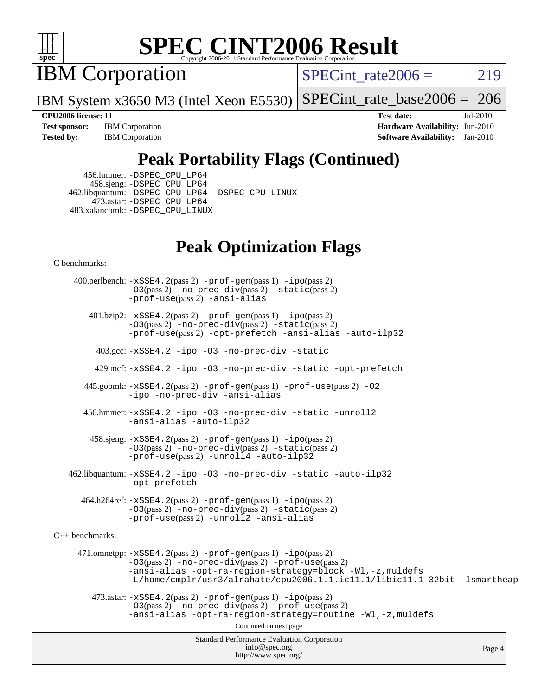

IBM Corporation

SPECint rate $2006 = 219$ 

IBM System x3650 M3 (Intel Xeon E5530) [SPECint\\_rate\\_base2006 =](http://www.spec.org/auto/cpu2006/Docs/result-fields.html#SPECintratebase2006) 206

**[Test sponsor:](http://www.spec.org/auto/cpu2006/Docs/result-fields.html#Testsponsor)** IBM Corporation **[Hardware Availability:](http://www.spec.org/auto/cpu2006/Docs/result-fields.html#HardwareAvailability)** Jun-2010 **[Tested by:](http://www.spec.org/auto/cpu2006/Docs/result-fields.html#Testedby)** IBM Corporation **[Software Availability:](http://www.spec.org/auto/cpu2006/Docs/result-fields.html#SoftwareAvailability)** Jan-2010

**[CPU2006 license:](http://www.spec.org/auto/cpu2006/Docs/result-fields.html#CPU2006license)** 11 **[Test date:](http://www.spec.org/auto/cpu2006/Docs/result-fields.html#Testdate)** Jul-2010

## **[Peak Portability Flags \(Continued\)](http://www.spec.org/auto/cpu2006/Docs/result-fields.html#PeakPortabilityFlags)**

 456.hmmer: [-DSPEC\\_CPU\\_LP64](http://www.spec.org/cpu2006/results/res2010q3/cpu2006-20100802-12751.flags.html#suite_peakCPORTABILITY456_hmmer_DSPEC_CPU_LP64) 458.sjeng: [-DSPEC\\_CPU\\_LP64](http://www.spec.org/cpu2006/results/res2010q3/cpu2006-20100802-12751.flags.html#suite_peakCPORTABILITY458_sjeng_DSPEC_CPU_LP64) 462.libquantum: [-DSPEC\\_CPU\\_LP64](http://www.spec.org/cpu2006/results/res2010q3/cpu2006-20100802-12751.flags.html#suite_peakCPORTABILITY462_libquantum_DSPEC_CPU_LP64) [-DSPEC\\_CPU\\_LINUX](http://www.spec.org/cpu2006/results/res2010q3/cpu2006-20100802-12751.flags.html#b462.libquantum_peakCPORTABILITY_DSPEC_CPU_LINUX) 473.astar: [-DSPEC\\_CPU\\_LP64](http://www.spec.org/cpu2006/results/res2010q3/cpu2006-20100802-12751.flags.html#suite_peakCXXPORTABILITY473_astar_DSPEC_CPU_LP64) 483.xalancbmk: [-DSPEC\\_CPU\\_LINUX](http://www.spec.org/cpu2006/results/res2010q3/cpu2006-20100802-12751.flags.html#b483.xalancbmk_peakCXXPORTABILITY_DSPEC_CPU_LINUX)

## **[Peak Optimization Flags](http://www.spec.org/auto/cpu2006/Docs/result-fields.html#PeakOptimizationFlags)**

[C benchmarks](http://www.spec.org/auto/cpu2006/Docs/result-fields.html#Cbenchmarks):

Standard Performance Evaluation Corporation [info@spec.org](mailto:info@spec.org) <http://www.spec.org/> Page 4 400.perlbench: [-xSSE4.2](http://www.spec.org/cpu2006/results/res2010q3/cpu2006-20100802-12751.flags.html#user_peakPASS2_CFLAGSPASS2_LDCFLAGS400_perlbench_f-xSSE42_f91528193cf0b216347adb8b939d4107)(pass 2) [-prof-gen](http://www.spec.org/cpu2006/results/res2010q3/cpu2006-20100802-12751.flags.html#user_peakPASS1_CFLAGSPASS1_LDCFLAGS400_perlbench_prof_gen_e43856698f6ca7b7e442dfd80e94a8fc)(pass 1) [-ipo](http://www.spec.org/cpu2006/results/res2010q3/cpu2006-20100802-12751.flags.html#user_peakPASS2_CFLAGSPASS2_LDCFLAGS400_perlbench_f-ipo)(pass 2) [-O3](http://www.spec.org/cpu2006/results/res2010q3/cpu2006-20100802-12751.flags.html#user_peakPASS2_CFLAGSPASS2_LDCFLAGS400_perlbench_f-O3)(pass 2) [-no-prec-div](http://www.spec.org/cpu2006/results/res2010q3/cpu2006-20100802-12751.flags.html#user_peakPASS2_CFLAGSPASS2_LDCFLAGS400_perlbench_f-no-prec-div)(pass 2) [-static](http://www.spec.org/cpu2006/results/res2010q3/cpu2006-20100802-12751.flags.html#user_peakPASS2_CFLAGSPASS2_LDCFLAGS400_perlbench_f-static)(pass 2) [-prof-use](http://www.spec.org/cpu2006/results/res2010q3/cpu2006-20100802-12751.flags.html#user_peakPASS2_CFLAGSPASS2_LDCFLAGS400_perlbench_prof_use_bccf7792157ff70d64e32fe3e1250b55)(pass 2) [-ansi-alias](http://www.spec.org/cpu2006/results/res2010q3/cpu2006-20100802-12751.flags.html#user_peakCOPTIMIZE400_perlbench_f-ansi-alias) 401.bzip2: [-xSSE4.2](http://www.spec.org/cpu2006/results/res2010q3/cpu2006-20100802-12751.flags.html#user_peakPASS2_CFLAGSPASS2_LDCFLAGS401_bzip2_f-xSSE42_f91528193cf0b216347adb8b939d4107)(pass 2) [-prof-gen](http://www.spec.org/cpu2006/results/res2010q3/cpu2006-20100802-12751.flags.html#user_peakPASS1_CFLAGSPASS1_LDCFLAGS401_bzip2_prof_gen_e43856698f6ca7b7e442dfd80e94a8fc)(pass 1) [-ipo](http://www.spec.org/cpu2006/results/res2010q3/cpu2006-20100802-12751.flags.html#user_peakPASS2_CFLAGSPASS2_LDCFLAGS401_bzip2_f-ipo)(pass 2) [-O3](http://www.spec.org/cpu2006/results/res2010q3/cpu2006-20100802-12751.flags.html#user_peakPASS2_CFLAGSPASS2_LDCFLAGS401_bzip2_f-O3)(pass 2) [-no-prec-div](http://www.spec.org/cpu2006/results/res2010q3/cpu2006-20100802-12751.flags.html#user_peakPASS2_CFLAGSPASS2_LDCFLAGS401_bzip2_f-no-prec-div)(pass 2) [-static](http://www.spec.org/cpu2006/results/res2010q3/cpu2006-20100802-12751.flags.html#user_peakPASS2_CFLAGSPASS2_LDCFLAGS401_bzip2_f-static)(pass 2) [-prof-use](http://www.spec.org/cpu2006/results/res2010q3/cpu2006-20100802-12751.flags.html#user_peakPASS2_CFLAGSPASS2_LDCFLAGS401_bzip2_prof_use_bccf7792157ff70d64e32fe3e1250b55)(pass 2) [-opt-prefetch](http://www.spec.org/cpu2006/results/res2010q3/cpu2006-20100802-12751.flags.html#user_peakCOPTIMIZE401_bzip2_f-opt-prefetch) [-ansi-alias](http://www.spec.org/cpu2006/results/res2010q3/cpu2006-20100802-12751.flags.html#user_peakCOPTIMIZE401_bzip2_f-ansi-alias) [-auto-ilp32](http://www.spec.org/cpu2006/results/res2010q3/cpu2006-20100802-12751.flags.html#user_peakCOPTIMIZE401_bzip2_f-auto-ilp32) 403.gcc: [-xSSE4.2](http://www.spec.org/cpu2006/results/res2010q3/cpu2006-20100802-12751.flags.html#user_peakCOPTIMIZE403_gcc_f-xSSE42_f91528193cf0b216347adb8b939d4107) [-ipo](http://www.spec.org/cpu2006/results/res2010q3/cpu2006-20100802-12751.flags.html#user_peakCOPTIMIZE403_gcc_f-ipo) [-O3](http://www.spec.org/cpu2006/results/res2010q3/cpu2006-20100802-12751.flags.html#user_peakCOPTIMIZE403_gcc_f-O3) [-no-prec-div](http://www.spec.org/cpu2006/results/res2010q3/cpu2006-20100802-12751.flags.html#user_peakCOPTIMIZE403_gcc_f-no-prec-div) [-static](http://www.spec.org/cpu2006/results/res2010q3/cpu2006-20100802-12751.flags.html#user_peakCOPTIMIZE403_gcc_f-static) 429.mcf: [-xSSE4.2](http://www.spec.org/cpu2006/results/res2010q3/cpu2006-20100802-12751.flags.html#user_peakCOPTIMIZE429_mcf_f-xSSE42_f91528193cf0b216347adb8b939d4107) [-ipo](http://www.spec.org/cpu2006/results/res2010q3/cpu2006-20100802-12751.flags.html#user_peakCOPTIMIZE429_mcf_f-ipo) [-O3](http://www.spec.org/cpu2006/results/res2010q3/cpu2006-20100802-12751.flags.html#user_peakCOPTIMIZE429_mcf_f-O3) [-no-prec-div](http://www.spec.org/cpu2006/results/res2010q3/cpu2006-20100802-12751.flags.html#user_peakCOPTIMIZE429_mcf_f-no-prec-div) [-static](http://www.spec.org/cpu2006/results/res2010q3/cpu2006-20100802-12751.flags.html#user_peakCOPTIMIZE429_mcf_f-static) [-opt-prefetch](http://www.spec.org/cpu2006/results/res2010q3/cpu2006-20100802-12751.flags.html#user_peakCOPTIMIZE429_mcf_f-opt-prefetch) 445.gobmk: [-xSSE4.2](http://www.spec.org/cpu2006/results/res2010q3/cpu2006-20100802-12751.flags.html#user_peakPASS2_CFLAGSPASS2_LDCFLAGS445_gobmk_f-xSSE42_f91528193cf0b216347adb8b939d4107)(pass 2) [-prof-gen](http://www.spec.org/cpu2006/results/res2010q3/cpu2006-20100802-12751.flags.html#user_peakPASS1_CFLAGSPASS1_LDCFLAGS445_gobmk_prof_gen_e43856698f6ca7b7e442dfd80e94a8fc)(pass 1) [-prof-use](http://www.spec.org/cpu2006/results/res2010q3/cpu2006-20100802-12751.flags.html#user_peakPASS2_CFLAGSPASS2_LDCFLAGS445_gobmk_prof_use_bccf7792157ff70d64e32fe3e1250b55)(pass 2) [-O2](http://www.spec.org/cpu2006/results/res2010q3/cpu2006-20100802-12751.flags.html#user_peakCOPTIMIZE445_gobmk_f-O2) [-ipo](http://www.spec.org/cpu2006/results/res2010q3/cpu2006-20100802-12751.flags.html#user_peakCOPTIMIZE445_gobmk_f-ipo) [-no-prec-div](http://www.spec.org/cpu2006/results/res2010q3/cpu2006-20100802-12751.flags.html#user_peakCOPTIMIZE445_gobmk_f-no-prec-div) [-ansi-alias](http://www.spec.org/cpu2006/results/res2010q3/cpu2006-20100802-12751.flags.html#user_peakCOPTIMIZE445_gobmk_f-ansi-alias) 456.hmmer: [-xSSE4.2](http://www.spec.org/cpu2006/results/res2010q3/cpu2006-20100802-12751.flags.html#user_peakCOPTIMIZE456_hmmer_f-xSSE42_f91528193cf0b216347adb8b939d4107) [-ipo](http://www.spec.org/cpu2006/results/res2010q3/cpu2006-20100802-12751.flags.html#user_peakCOPTIMIZE456_hmmer_f-ipo) [-O3](http://www.spec.org/cpu2006/results/res2010q3/cpu2006-20100802-12751.flags.html#user_peakCOPTIMIZE456_hmmer_f-O3) [-no-prec-div](http://www.spec.org/cpu2006/results/res2010q3/cpu2006-20100802-12751.flags.html#user_peakCOPTIMIZE456_hmmer_f-no-prec-div) [-static](http://www.spec.org/cpu2006/results/res2010q3/cpu2006-20100802-12751.flags.html#user_peakCOPTIMIZE456_hmmer_f-static) [-unroll2](http://www.spec.org/cpu2006/results/res2010q3/cpu2006-20100802-12751.flags.html#user_peakCOPTIMIZE456_hmmer_f-unroll_784dae83bebfb236979b41d2422d7ec2) [-ansi-alias](http://www.spec.org/cpu2006/results/res2010q3/cpu2006-20100802-12751.flags.html#user_peakCOPTIMIZE456_hmmer_f-ansi-alias) [-auto-ilp32](http://www.spec.org/cpu2006/results/res2010q3/cpu2006-20100802-12751.flags.html#user_peakCOPTIMIZE456_hmmer_f-auto-ilp32) 458.sjeng: [-xSSE4.2](http://www.spec.org/cpu2006/results/res2010q3/cpu2006-20100802-12751.flags.html#user_peakPASS2_CFLAGSPASS2_LDCFLAGS458_sjeng_f-xSSE42_f91528193cf0b216347adb8b939d4107)(pass 2) [-prof-gen](http://www.spec.org/cpu2006/results/res2010q3/cpu2006-20100802-12751.flags.html#user_peakPASS1_CFLAGSPASS1_LDCFLAGS458_sjeng_prof_gen_e43856698f6ca7b7e442dfd80e94a8fc)(pass 1) [-ipo](http://www.spec.org/cpu2006/results/res2010q3/cpu2006-20100802-12751.flags.html#user_peakPASS2_CFLAGSPASS2_LDCFLAGS458_sjeng_f-ipo)(pass 2) [-O3](http://www.spec.org/cpu2006/results/res2010q3/cpu2006-20100802-12751.flags.html#user_peakPASS2_CFLAGSPASS2_LDCFLAGS458_sjeng_f-O3)(pass 2) [-no-prec-div](http://www.spec.org/cpu2006/results/res2010q3/cpu2006-20100802-12751.flags.html#user_peakPASS2_CFLAGSPASS2_LDCFLAGS458_sjeng_f-no-prec-div)(pass 2) [-static](http://www.spec.org/cpu2006/results/res2010q3/cpu2006-20100802-12751.flags.html#user_peakPASS2_CFLAGSPASS2_LDCFLAGS458_sjeng_f-static)(pass 2) [-prof-use](http://www.spec.org/cpu2006/results/res2010q3/cpu2006-20100802-12751.flags.html#user_peakPASS2_CFLAGSPASS2_LDCFLAGS458_sjeng_prof_use_bccf7792157ff70d64e32fe3e1250b55)(pass 2) [-unroll4](http://www.spec.org/cpu2006/results/res2010q3/cpu2006-20100802-12751.flags.html#user_peakCOPTIMIZE458_sjeng_f-unroll_4e5e4ed65b7fd20bdcd365bec371b81f) [-auto-ilp32](http://www.spec.org/cpu2006/results/res2010q3/cpu2006-20100802-12751.flags.html#user_peakCOPTIMIZE458_sjeng_f-auto-ilp32) 462.libquantum: [-xSSE4.2](http://www.spec.org/cpu2006/results/res2010q3/cpu2006-20100802-12751.flags.html#user_peakCOPTIMIZE462_libquantum_f-xSSE42_f91528193cf0b216347adb8b939d4107) [-ipo](http://www.spec.org/cpu2006/results/res2010q3/cpu2006-20100802-12751.flags.html#user_peakCOPTIMIZE462_libquantum_f-ipo) [-O3](http://www.spec.org/cpu2006/results/res2010q3/cpu2006-20100802-12751.flags.html#user_peakCOPTIMIZE462_libquantum_f-O3) [-no-prec-div](http://www.spec.org/cpu2006/results/res2010q3/cpu2006-20100802-12751.flags.html#user_peakCOPTIMIZE462_libquantum_f-no-prec-div) [-static](http://www.spec.org/cpu2006/results/res2010q3/cpu2006-20100802-12751.flags.html#user_peakCOPTIMIZE462_libquantum_f-static) [-auto-ilp32](http://www.spec.org/cpu2006/results/res2010q3/cpu2006-20100802-12751.flags.html#user_peakCOPTIMIZE462_libquantum_f-auto-ilp32) [-opt-prefetch](http://www.spec.org/cpu2006/results/res2010q3/cpu2006-20100802-12751.flags.html#user_peakCOPTIMIZE462_libquantum_f-opt-prefetch) 464.h264ref: [-xSSE4.2](http://www.spec.org/cpu2006/results/res2010q3/cpu2006-20100802-12751.flags.html#user_peakPASS2_CFLAGSPASS2_LDCFLAGS464_h264ref_f-xSSE42_f91528193cf0b216347adb8b939d4107)(pass 2) [-prof-gen](http://www.spec.org/cpu2006/results/res2010q3/cpu2006-20100802-12751.flags.html#user_peakPASS1_CFLAGSPASS1_LDCFLAGS464_h264ref_prof_gen_e43856698f6ca7b7e442dfd80e94a8fc)(pass 1) [-ipo](http://www.spec.org/cpu2006/results/res2010q3/cpu2006-20100802-12751.flags.html#user_peakPASS2_CFLAGSPASS2_LDCFLAGS464_h264ref_f-ipo)(pass 2) [-O3](http://www.spec.org/cpu2006/results/res2010q3/cpu2006-20100802-12751.flags.html#user_peakPASS2_CFLAGSPASS2_LDCFLAGS464_h264ref_f-O3)(pass 2) [-no-prec-div](http://www.spec.org/cpu2006/results/res2010q3/cpu2006-20100802-12751.flags.html#user_peakPASS2_CFLAGSPASS2_LDCFLAGS464_h264ref_f-no-prec-div)(pass 2) [-static](http://www.spec.org/cpu2006/results/res2010q3/cpu2006-20100802-12751.flags.html#user_peakPASS2_CFLAGSPASS2_LDCFLAGS464_h264ref_f-static)(pass 2) [-prof-use](http://www.spec.org/cpu2006/results/res2010q3/cpu2006-20100802-12751.flags.html#user_peakPASS2_CFLAGSPASS2_LDCFLAGS464_h264ref_prof_use_bccf7792157ff70d64e32fe3e1250b55)(pass 2) [-unroll2](http://www.spec.org/cpu2006/results/res2010q3/cpu2006-20100802-12751.flags.html#user_peakCOPTIMIZE464_h264ref_f-unroll_784dae83bebfb236979b41d2422d7ec2) [-ansi-alias](http://www.spec.org/cpu2006/results/res2010q3/cpu2006-20100802-12751.flags.html#user_peakCOPTIMIZE464_h264ref_f-ansi-alias) [C++ benchmarks:](http://www.spec.org/auto/cpu2006/Docs/result-fields.html#CXXbenchmarks) 471.omnetpp: [-xSSE4.2](http://www.spec.org/cpu2006/results/res2010q3/cpu2006-20100802-12751.flags.html#user_peakPASS2_CXXFLAGSPASS2_LDCXXFLAGS471_omnetpp_f-xSSE42_f91528193cf0b216347adb8b939d4107)(pass 2) [-prof-gen](http://www.spec.org/cpu2006/results/res2010q3/cpu2006-20100802-12751.flags.html#user_peakPASS1_CXXFLAGSPASS1_LDCXXFLAGS471_omnetpp_prof_gen_e43856698f6ca7b7e442dfd80e94a8fc)(pass 1) [-ipo](http://www.spec.org/cpu2006/results/res2010q3/cpu2006-20100802-12751.flags.html#user_peakPASS2_CXXFLAGSPASS2_LDCXXFLAGS471_omnetpp_f-ipo)(pass 2) [-O3](http://www.spec.org/cpu2006/results/res2010q3/cpu2006-20100802-12751.flags.html#user_peakPASS2_CXXFLAGSPASS2_LDCXXFLAGS471_omnetpp_f-O3)(pass 2) [-no-prec-div](http://www.spec.org/cpu2006/results/res2010q3/cpu2006-20100802-12751.flags.html#user_peakPASS2_CXXFLAGSPASS2_LDCXXFLAGS471_omnetpp_f-no-prec-div)(pass 2) [-prof-use](http://www.spec.org/cpu2006/results/res2010q3/cpu2006-20100802-12751.flags.html#user_peakPASS2_CXXFLAGSPASS2_LDCXXFLAGS471_omnetpp_prof_use_bccf7792157ff70d64e32fe3e1250b55)(pass 2) [-ansi-alias](http://www.spec.org/cpu2006/results/res2010q3/cpu2006-20100802-12751.flags.html#user_peakCXXOPTIMIZE471_omnetpp_f-ansi-alias) [-opt-ra-region-strategy=block](http://www.spec.org/cpu2006/results/res2010q3/cpu2006-20100802-12751.flags.html#user_peakCXXOPTIMIZE471_omnetpp_f-opt-ra-region-strategy-block_a0a37c372d03933b2a18d4af463c1f69) [-Wl,-z,muldefs](http://www.spec.org/cpu2006/results/res2010q3/cpu2006-20100802-12751.flags.html#user_peakEXTRA_LDFLAGS471_omnetpp_link_force_multiple1_74079c344b956b9658436fd1b6dd3a8a) [-L/home/cmplr/usr3/alrahate/cpu2006.1.1.ic11.1/libic11.1-32bit -lsmartheap](http://www.spec.org/cpu2006/results/res2010q3/cpu2006-20100802-12751.flags.html#user_peakEXTRA_LIBS471_omnetpp_SmartHeap_d86dffe4a79b79ef8890d5cce17030c3)  $473.\text{astar: } -xSSE4$ .  $2(\text{pass 2})$   $-\text{prof-gen}(\text{pass 1})$   $-i\text{po}(\text{pass 2})$ [-O3](http://www.spec.org/cpu2006/results/res2010q3/cpu2006-20100802-12751.flags.html#user_peakPASS2_CXXFLAGSPASS2_LDCXXFLAGS473_astar_f-O3)(pass 2) [-no-prec-div](http://www.spec.org/cpu2006/results/res2010q3/cpu2006-20100802-12751.flags.html#user_peakPASS2_CXXFLAGSPASS2_LDCXXFLAGS473_astar_f-no-prec-div)(pass 2) [-prof-use](http://www.spec.org/cpu2006/results/res2010q3/cpu2006-20100802-12751.flags.html#user_peakPASS2_CXXFLAGSPASS2_LDCXXFLAGS473_astar_prof_use_bccf7792157ff70d64e32fe3e1250b55)(pass 2) [-ansi-alias](http://www.spec.org/cpu2006/results/res2010q3/cpu2006-20100802-12751.flags.html#user_peakCXXOPTIMIZE473_astar_f-ansi-alias) [-opt-ra-region-strategy=routine](http://www.spec.org/cpu2006/results/res2010q3/cpu2006-20100802-12751.flags.html#user_peakCXXOPTIMIZE473_astar_f-opt-ra-region-strategy-routine_ba086ea3b1d46a52e1238e2ca173ed44) [-Wl,-z,muldefs](http://www.spec.org/cpu2006/results/res2010q3/cpu2006-20100802-12751.flags.html#user_peakEXTRA_LDFLAGS473_astar_link_force_multiple1_74079c344b956b9658436fd1b6dd3a8a) Continued on next page